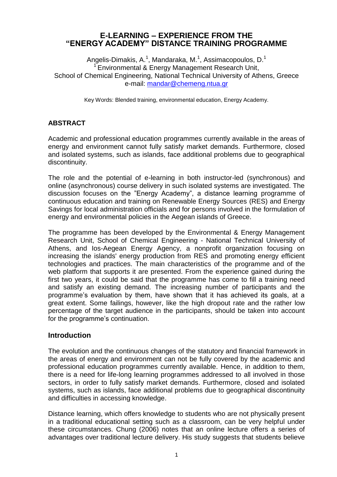# **E-LEARNING – EXPERIENCE FROM THE "ENERGY ACADEMY" DISTANCE TRAINING PROGRAMME**

Angelis-Dimakis, A.<sup>1</sup>, Mandaraka, M.<sup>1</sup>, Assimacopoulos, D.<sup>1</sup> <sup>1</sup> Environmental & Energy Management Research Unit, School of Chemical Engineering, National Technical University of Athens, Greece e-mail: [mandar@chemeng.ntua.gr](mailto:mandar@chemeng.ntua.gr)

Key Words: Blended training, environmental education, Energy Academy.

## **ABSTRACT**

Academic and professional education programmes currently available in the areas of energy and environment cannot fully satisfy market demands. Furthermore, closed and isolated systems, such as islands, face additional problems due to geographical discontinuity.

The role and the potential of e-learning in both instructor-led (synchronous) and online (asynchronous) course delivery in such isolated systems are investigated. The discussion focuses on the "Energy Academy", a distance learning programme of continuous education and training on Renewable Energy Sources (RES) and Energy Savings for local administration officials and for persons involved in the formulation of energy and environmental policies in the Aegean islands of Greece.

The programme has been developed by the Environmental & Energy Management Research Unit, School of Chemical Engineering - National Technical University of Athens, and Ios-Aegean Energy Agency, a nonprofit organization focusing on increasing the islands' energy production from RES and promoting energy efficient technologies and practices. The main characteristics of the programme and of the web platform that supports it are presented. From the experience gained during the first two years, it could be said that the programme has come to fill a training need and satisfy an existing demand. The increasing number of participants and the programme's evaluation by them, have shown that it has achieved its goals, at a great extent. Some failings, however, like the high dropout rate and the rather low percentage of the target audience in the participants, should be taken into account for the programme's continuation.

### **Introduction**

The evolution and the continuous changes of the statutory and financial framework in the areas of energy and environment can not be fully covered by the academic and professional education programmes currently available. Hence, in addition to them, there is a need for life-long learning programmes addressed to all involved in those sectors, in order to fully satisfy market demands. Furthermore, closed and isolated systems, such as islands, face additional problems due to geographical discontinuity and difficulties in accessing knowledge.

Distance learning, which offers knowledge to students who are not physically present in a traditional educational setting such as a classroom, can be very helpful under these circumstances. Chung (2006) notes that an online lecture offers a series of advantages over traditional lecture delivery. His study suggests that students believe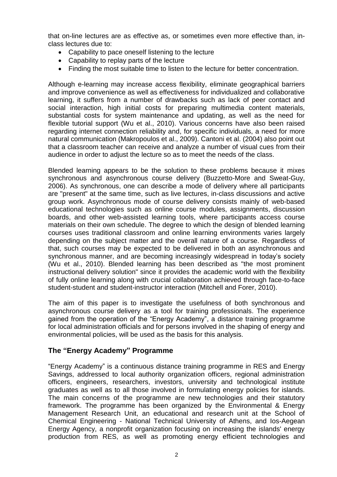that on-line lectures are as effective as, or sometimes even more effective than, inclass lectures due to:

- Capability to pace oneself listening to the lecture
- Capability to replay parts of the lecture
- Finding the most suitable time to listen to the lecture for better concentration.

Although e-learning may increase access flexibility, eliminate geographical barriers and improve convenience as well as effectiveness for individualized and collaborative learning, it suffers from a number of drawbacks such as lack of peer contact and social interaction, high initial costs for preparing multimedia content materials, substantial costs for system maintenance and updating, as well as the need for flexible tutorial support (Wu et al., 2010). Various concerns have also been raised regarding internet connection reliability and, for specific individuals, a need for more natural communication (Makropoulos et al., 2009). Cantoni et al. (2004) also point out that a classroom teacher can receive and analyze a number of visual cues from their audience in order to adjust the lecture so as to meet the needs of the class.

Blended learning appears to be the solution to these problems because it mixes synchronous and asynchronous course delivery (Buzzetto-More and Sweat-Guy, 2006). As synchronous, one can describe a mode of delivery where all participants are "present" at the same time, such as live lectures, in-class discussions and active group work. Asynchronous mode of course delivery consists mainly of web-based educational technologies such as online course modules, assignments, discussion boards, and other web-assisted learning tools, where participants access course materials on their own schedule. The degree to which the design of blended learning courses uses traditional classroom and online learning environments varies largely depending on the subject matter and the overall nature of a course. Regardless of that, such courses may be expected to be delivered in both an asynchronous and synchronous manner, and are becoming increasingly widespread in today's society (Wu et al., 2010). Blended learning has been described as "the most prominent instructional delivery solution" since it provides the academic world with the flexibility of fully online learning along with crucial collaboration achieved through face-to-face student-student and student-instructor interaction (Mitchell and Forer, 2010).

The aim of this paper is to investigate the usefulness of both synchronous and asynchronous course delivery as a tool for training professionals. The experience gained from the operation of the "Energy Academy", a distance training programme for local administration officials and for persons involved in the shaping of energy and environmental policies, will be used as the basis for this analysis.

### **The "Energy Academy" Programme**

"Energy Academy" is a continuous distance training programme in RES and Energy Savings, addressed to local authority organization officers, regional administration officers, engineers, researchers, investors, university and technological institute graduates as well as to all those involved in formulating energy policies for islands. The main concerns of the programme are new technologies and their statutory framework. The programme has been organized by the Environmental & Energy Management Research Unit, an educational and research unit at the School of Chemical Engineering - National Technical University of Athens, and Ios-Aegean Energy Agency, a nonprofit organization focusing on increasing the islands' energy production from RES, as well as promoting energy efficient technologies and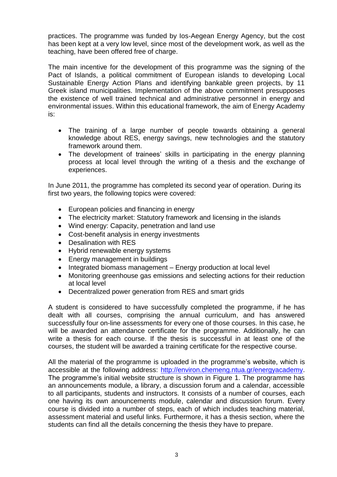practices. The programme was funded by Ios-Aegean Energy Agency, but the cost has been kept at a very low level, since most of the development work, as well as the teaching, have been offered free of charge.

The main incentive for the development of this programme was the signing of the Pact of Islands, a political commitment of European islands to developing Local Sustainable Energy Action Plans and identifying bankable green projects, by 11 Greek island municipalities. Implementation of the above commitment presupposes the existence of well trained technical and administrative personnel in energy and environmental issues. Within this educational framework, the aim of Energy Academy is:

- The training of a large number of people towards obtaining a general knowledge about RES, energy savings, new technologies and the statutory framework around them.
- The development of trainees' skills in participating in the energy planning process at local level through the writing of a thesis and the exchange of experiences.

In June 2011, the programme has completed its second year of operation. During its first two years, the following topics were covered:

- European policies and financing in energy
- The electricity market: Statutory framework and licensing in the islands
- Wind energy: Capacity, penetration and land use
- Cost-benefit analysis in energy investments
- Desalination with RES
- Hybrid renewable energy systems
- Energy management in buildings
- Integrated biomass management Energy production at local level
- Monitoring greenhouse gas emissions and selecting actions for their reduction at local level
- Decentralized power generation from RES and smart grids

A student is considered to have successfully completed the programme, if he has dealt with all courses, comprising the annual curriculum, and has answered successfully four on-line assessments for every one of those courses. In this case, he will be awarded an attendance certificate for the programme. Additionally, he can write a thesis for each course. If the thesis is successful in at least one of the courses, the student will be awarded a training certificate for the respective course.

All the material of the programme is uploaded in the programme's website, which is accessible at the following address: [http://environ.chemeng.ntua.gr/energyacademy.](http://environ.chemeng.ntua.gr/energyacademy) The programme's initial website structure is shown in Figure 1. The programme has an announcements module, a library, a discussion forum and a calendar, accessible to all participants, students and instructors. It consists of a number of courses, each one having its own anouncements module, calendar and discussion forum. Every course is divided into a number of steps, each of which includes teaching material, assessment material and useful links. Furthermore, it has a thesis section, where the students can find all the details concerning the thesis they have to prepare.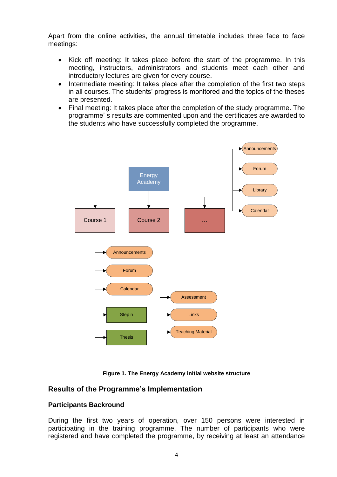Apart from the online activities, the annual timetable includes three face to face meetings:

- Kick off meeting: It takes place before the start of the programme. In this meeting, instructors, administrators and students meet each other and introductory lectures are given for every course.
- Intermediate meeting: It takes place after the completion of the first two steps in all courses. The students' progress is monitored and the topics of the theses are presented.
- Final meeting: It takes place after the completion of the study programme. The programme' s results are commented upon and the certificates are awarded to the students who have successfully completed the programme.





### **Results of the Programme's Implementation**

### **Participants Backround**

During the first two years of operation, over 150 persons were interested in participating in the training programme. The number of participants who were registered and have completed the programme, by receiving at least an attendance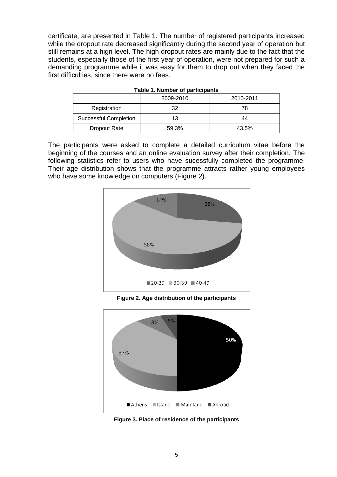certificate, are presented in Table 1. The number of registered participants increased while the dropout rate decreased significantly during the second year of operation but still remains at a hign level. The high dropout rates are mainly due to the fact that the students, especially those of the first year of operation, were not prepared for such a demanding programme while it was easy for them to drop out when they faced the first difficulties, since there were no fees.

|                              | 2009-2010<br>2010-2011 |       |  |
|------------------------------|------------------------|-------|--|
| Registration                 | 32                     | 78    |  |
| <b>Successful Completion</b> | 13                     | 44    |  |
| Dropout Rate                 | 59.3%                  | 43.5% |  |

|  |  | Table 1. Number of participants |  |  |  |
|--|--|---------------------------------|--|--|--|
|--|--|---------------------------------|--|--|--|

The participants were asked to complete a detailed curriculum vitae before the beginning of the courses and an online evaluation survey after their completion. The following statistics refer to users who have sucessfully completed the programme. Their age distribution shows that the programme attracts rather young employees who have some knowledge on computers (Figure 2).



**Figure 2. Age distribution of the participants**



**Figure 3. Place of residence of the participants**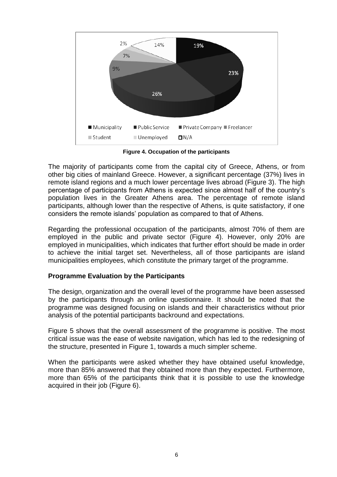

**Figure 4. Occupation of the participants**

The majority of participants come from the capital city of Greece, Athens, or from other big cities of mainland Greece. However, a significant percentage (37%) lives in remote island regions and a much lower percentage lives abroad (Figure 3). The high percentage of participants from Athens is expected since almost half of the country's population lives in the Greater Athens area. The percentage of remote island participants, although lower than the respective of Athens, is quite satisfactory, if one considers the remote islands' population as compared to that of Athens.

Regarding the professional occupation of the participants, almost 70% of them are employed in the public and private sector (Figure 4). However, only 20% are employed in municipalities, which indicates that further effort should be made in order to achieve the initial target set. Nevertheless, all of those participants are island municipalities employees, which constitute the primary target of the programme.

### **Programme Evaluation by the Participants**

The design, organization and the overall level of the programme have been assessed by the participants through an online questionnaire. It should be noted that the programme was designed focusing on islands and their characteristics without prior analysis of the potential participants backround and expectations.

Figure 5 shows that the overall assessment of the programme is positive. The most critical issue was the ease of website navigation, which has led to the redesigning of the structure, presented in Figure 1, towards a much simpler scheme.

When the participants were asked whether they have obtained useful knowledge, more than 85% answered that they obtained more than they expected. Furthermore, more than 65% of the participants think that it is possible to use the knowledge acquired in their job (Figure 6).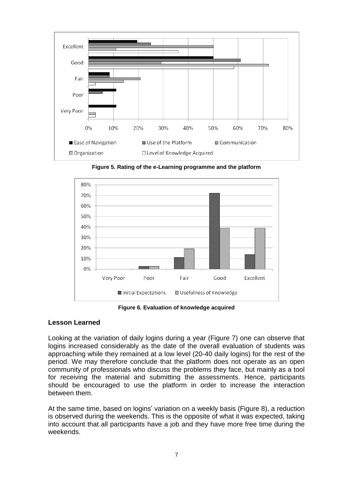

**Figure 5. Rating of the e-Learning programme and the platform**



**Figure 6. Evaluation of knowledge acquired**

#### **Lesson Learned**

Looking at the variation of daily logins during a year (Figure 7) one can observe that logins increased considerably as the date of the overall evaluation of students was approaching while they remained at a low level (20-40 daily logins) for the rest of the period. We may therefore conclude that the platform does not operate as an open community of professionals who discuss the problems they face, but mainly as a tool for receiving the material and submitting the assessments. Hence, participants should be encouraged to use the platform in order to increase the interaction between them.

At the same time, based on logins' variation on a weekly basis (Figure 8), a reduction is observed during the weekends. This is the opposite of what it was expected, taking into account that all participants have a job and they have more free time during the weekends.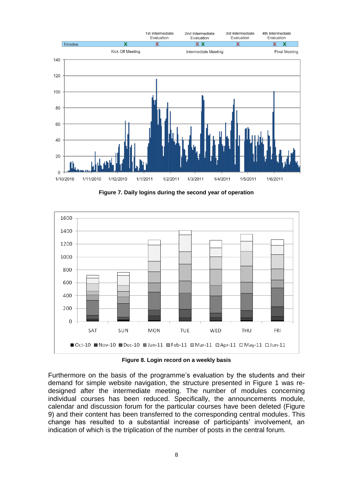

**Figure 7. Daily logins during the second year of operation**



**Figure 8. Login record on a weekly basis**

Furthermore on the basis of the programme's evaluation by the students and their demand for simple website navigation, the structure presented in Figure 1 was redesigned after the intermediate meeting. The number of modules concerning individual courses has been reduced. Specifically, the announcements module, calendar and discussion forum for the particular courses have been deleted (Figure 9) and their content has been transferred to the corresponding central modules. This change has resulted to a substantial increase of participants' involvement, an indication of which is the triplication of the number of posts in the central forum.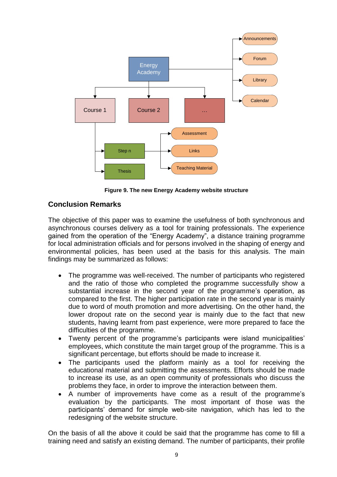

**Figure 9. The new Energy Academy website structure**

# **Conclusion Remarks**

The objective of this paper was to examine the usefulness of both synchronous and asynchronous courses delivery as a tool for training professionals. The experience gained from the operation of the "Energy Academy", a distance training programme for local administration officials and for persons involved in the shaping of energy and environmental policies, has been used at the basis for this analysis. The main findings may be summarized as follows:

- The programme was well-received. The number of participants who registered and the ratio of those who completed the programme successfully show a substantial increase in the second year of the programme's operation, as compared to the first. The higher participation rate in the second year is mainly due to word of mouth promotion and more advertising. On the other hand, the lower dropout rate on the second year is mainly due to the fact that new students, having learnt from past experience, were more prepared to face the difficulties of the programme.
- Twenty percent of the programme's participants were island municipalities' employees, which constitute the main target group of the programme. This is a significant percentage, but efforts should be made to increase it.
- The participants used the platform mainly as a tool for receiving the educational material and submitting the assessments. Efforts should be made to increase its use, as an open community of professionals who discuss the problems they face, in order to improve the interaction between them.
- A number of improvements have come as a result of the programme's evaluation by the participants. The most important of those was the participants' demand for simple web-site navigation, which has led to the redesigning of the website structure.

On the basis of all the above it could be said that the programme has come to fill a training need and satisfy an existing demand. The number of participants, their profile